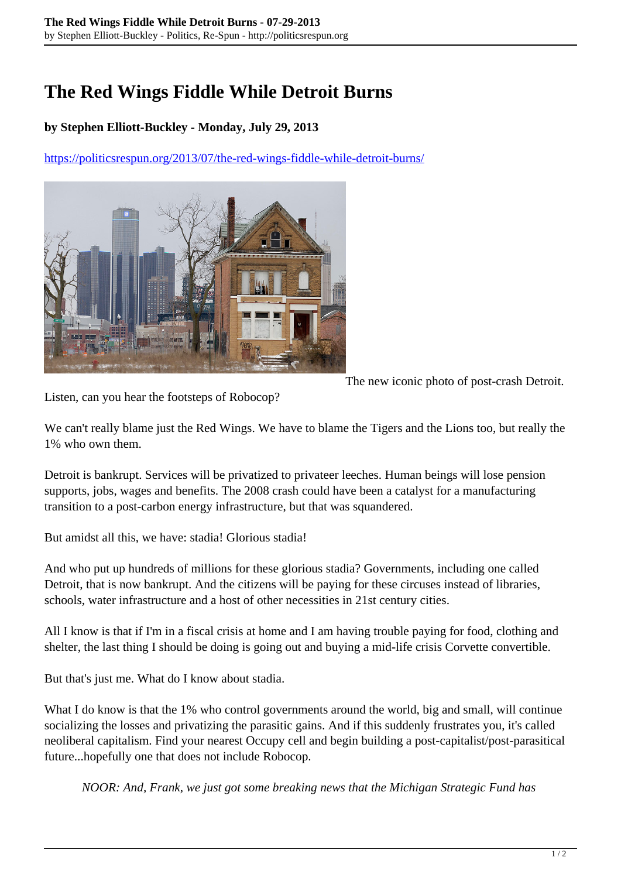## **The Red Wings Fiddle While Detroit Burns**

## **by Stephen Elliott-Buckley - Monday, July 29, 2013**

<https://politicsrespun.org/2013/07/the-red-wings-fiddle-while-detroit-burns/>



The new iconic photo of post-crash Detroit.

Listen, can you hear the footsteps of Robocop?

We can't really blame just the Red Wings. We have to blame the Tigers and the Lions too, but really the 1% who own them.

Detroit is bankrupt. Services will be privatized to privateer leeches. Human beings will lose pension supports, jobs, wages and benefits. The 2008 crash could have been a catalyst for a manufacturing transition to a post-carbon energy infrastructure, but that was squandered.

But amidst all this, we have: stadia! Glorious stadia!

And who put up hundreds of millions for these glorious stadia? Governments, including one called Detroit, that is now bankrupt. And the citizens will be paying for these circuses instead of libraries, schools, water infrastructure and a host of other necessities in 21st century cities.

All I know is that if I'm in a fiscal crisis at home and I am having trouble paying for food, clothing and shelter, the last thing I should be doing is going out and buying a mid-life crisis Corvette convertible.

But that's just me. What do I know about stadia.

What I do know is that the 1% who control governments around the world, big and small, will continue socializing the losses and privatizing the parasitic gains. And if this suddenly frustrates you, it's called neoliberal capitalism. Find your nearest Occupy cell and begin building a post-capitalist/post-parasitical future...hopefully one that does not include Robocop.

*NOOR: And, Frank, we just got some breaking news that the Michigan Strategic Fund has*